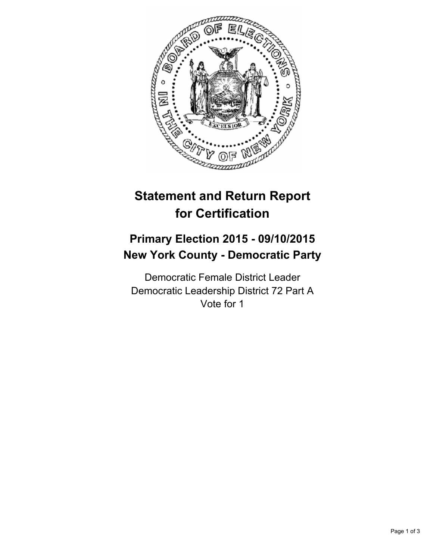

# **Statement and Return Report for Certification**

## **Primary Election 2015 - 09/10/2015 New York County - Democratic Party**

Democratic Female District Leader Democratic Leadership District 72 Part A Vote for 1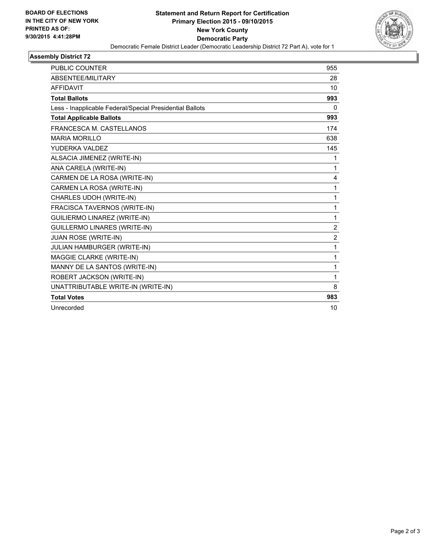

## **Assembly District 72**

| <b>PUBLIC COUNTER</b>                                    | 955            |
|----------------------------------------------------------|----------------|
| <b>ABSENTEE/MILITARY</b>                                 | 28             |
| <b>AFFIDAVIT</b>                                         | 10             |
| <b>Total Ballots</b>                                     | 993            |
| Less - Inapplicable Federal/Special Presidential Ballots | 0              |
| <b>Total Applicable Ballots</b>                          | 993            |
| FRANCESCA M. CASTELLANOS                                 | 174            |
| <b>MARIA MORILLO</b>                                     | 638            |
| YUDERKA VALDEZ                                           | 145            |
| ALSACIA JIMENEZ (WRITE-IN)                               | 1              |
| ANA CARELA (WRITE-IN)                                    | 1              |
| CARMEN DE LA ROSA (WRITE-IN)                             | 4              |
| CARMEN LA ROSA (WRITE-IN)                                | 1              |
| CHARLES UDOH (WRITE-IN)                                  | 1              |
| FRACISCA TAVERNOS (WRITE-IN)                             | 1              |
| <b>GUILIERMO LINAREZ (WRITE-IN)</b>                      | 1              |
| <b>GUILLERMO LINARES (WRITE-IN)</b>                      | $\overline{2}$ |
| JUAN ROSE (WRITE-IN)                                     | $\overline{2}$ |
| JULIAN HAMBURGER (WRITE-IN)                              | 1              |
| <b>MAGGIE CLARKE (WRITE-IN)</b>                          | 1              |
| MANNY DE LA SANTOS (WRITE-IN)                            | 1              |
| ROBERT JACKSON (WRITE-IN)                                | 1              |
| UNATTRIBUTABLE WRITE-IN (WRITE-IN)                       | 8              |
| <b>Total Votes</b>                                       | 983            |
| Unrecorded                                               | 10             |